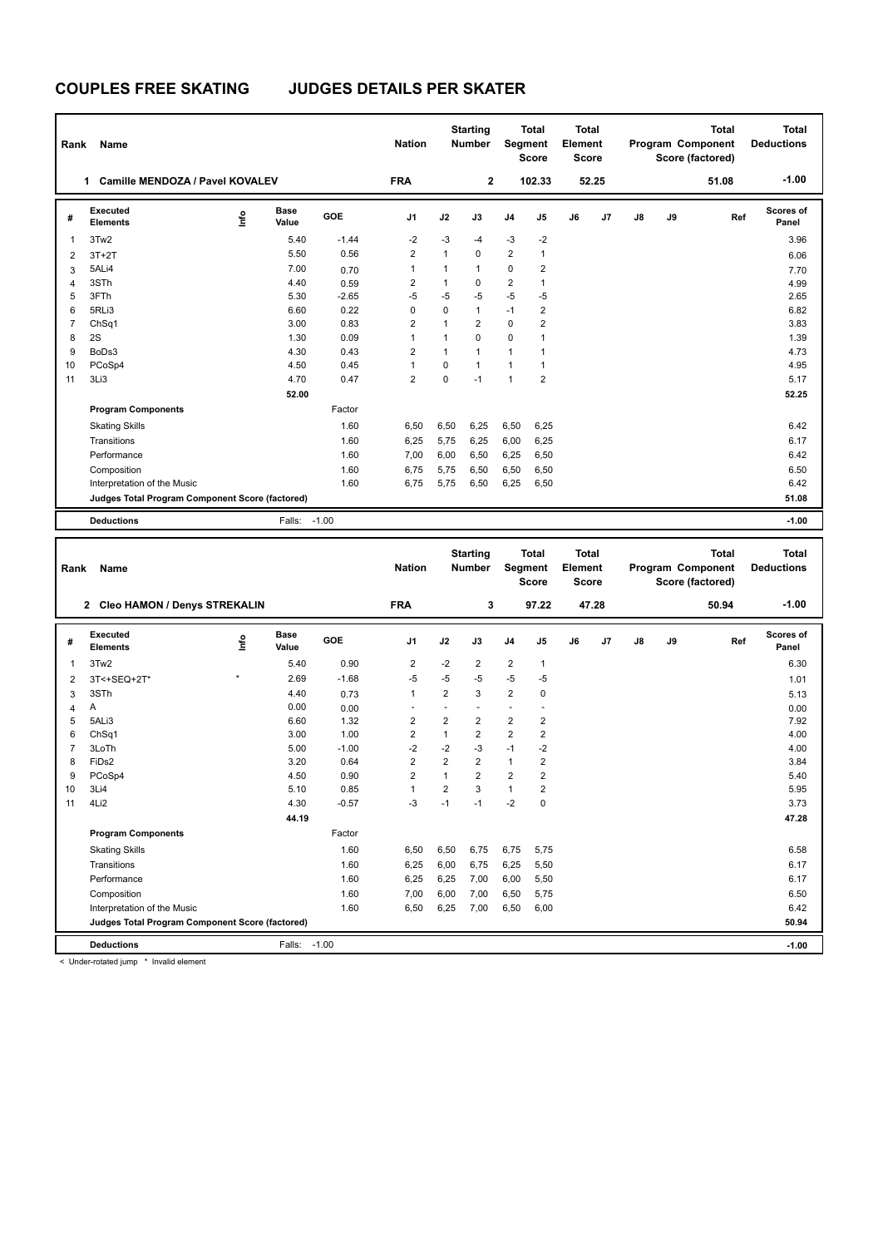## **COUPLES FREE SKATING JUDGES DETAILS PER SKATER**

| Rank                                            | Name                                  |      |                      |         | <b>Nation</b>  |              | <b>Starting</b><br><b>Number</b> |                | <b>Total</b><br>Segment<br><b>Score</b> | Total<br>Element<br><b>Score</b> |       |               |    | <b>Total</b><br>Program Component<br>Score (factored) | <b>Total</b><br><b>Deductions</b> |
|-------------------------------------------------|---------------------------------------|------|----------------------|---------|----------------|--------------|----------------------------------|----------------|-----------------------------------------|----------------------------------|-------|---------------|----|-------------------------------------------------------|-----------------------------------|
|                                                 | Camille MENDOZA / Pavel KOVALEV<br>1. |      |                      |         | <b>FRA</b>     |              | $\mathbf{2}$                     |                | 102.33                                  |                                  | 52.25 |               |    | 51.08                                                 | $-1.00$                           |
| #                                               | Executed<br><b>Elements</b>           | lnfo | <b>Base</b><br>Value | GOE     | J <sub>1</sub> | J2           | J3                               | J <sub>4</sub> | J <sub>5</sub>                          | J6                               | J7    | $\mathsf{J}8$ | J9 | Ref                                                   | Scores of<br>Panel                |
| 1                                               | 3Tw2                                  |      | 5.40                 | $-1.44$ | $-2$           | $-3$         | $-4$                             | $-3$           | $-2$                                    |                                  |       |               |    |                                                       | 3.96                              |
| $\overline{2}$                                  | $3T+2T$                               |      | 5.50                 | 0.56    | $\overline{2}$ | $\mathbf{1}$ | $\Omega$                         | $\overline{2}$ | 1                                       |                                  |       |               |    |                                                       | 6.06                              |
| 3                                               | 5ALi4                                 |      | 7.00                 | 0.70    | 1              | 1            | 1                                | 0              | 2                                       |                                  |       |               |    |                                                       | 7.70                              |
| 4                                               | 3STh                                  |      | 4.40                 | 0.59    | $\overline{2}$ | $\mathbf{1}$ | 0                                | $\overline{2}$ | $\mathbf{1}$                            |                                  |       |               |    |                                                       | 4.99                              |
| 5                                               | 3FTh                                  |      | 5.30                 | $-2.65$ | $-5$           | $-5$         | $-5$                             | $-5$           | $-5$                                    |                                  |       |               |    |                                                       | 2.65                              |
| 6                                               | 5RLi3                                 |      | 6.60                 | 0.22    | $\Omega$       | $\mathbf 0$  | $\mathbf{1}$                     | $-1$           | $\overline{2}$                          |                                  |       |               |    |                                                       | 6.82                              |
| 7                                               | ChSq1                                 |      | 3.00                 | 0.83    | $\overline{2}$ | $\mathbf{1}$ | $\overline{2}$                   | $\mathbf 0$    | $\overline{2}$                          |                                  |       |               |    |                                                       | 3.83                              |
| 8                                               | 2S                                    |      | 1.30                 | 0.09    | $\mathbf{1}$   | 1            | $\Omega$                         | $\mathbf 0$    | 1                                       |                                  |       |               |    |                                                       | 1.39                              |
| 9                                               | BoDs3                                 |      | 4.30                 | 0.43    | 2              | $\mathbf{1}$ | 1                                | $\mathbf{1}$   | 1                                       |                                  |       |               |    |                                                       | 4.73                              |
| 10                                              | PCoSp4                                |      | 4.50                 | 0.45    | $\mathbf{1}$   | $\mathbf 0$  | $\mathbf{1}$                     | $\mathbf{1}$   | 1                                       |                                  |       |               |    |                                                       | 4.95                              |
| 11                                              | 3Li3                                  |      | 4.70                 | 0.47    | 2              | $\Omega$     | $-1$                             | $\overline{1}$ | $\overline{2}$                          |                                  |       |               |    |                                                       | 5.17                              |
|                                                 |                                       |      |                      |         |                |              |                                  |                |                                         |                                  |       | 52.25         |    |                                                       |                                   |
|                                                 | <b>Program Components</b>             |      |                      | Factor  |                |              |                                  |                |                                         |                                  |       |               |    |                                                       |                                   |
|                                                 | <b>Skating Skills</b>                 |      |                      | 1.60    | 6,50           | 6,50         | 6,25                             | 6,50           | 6,25                                    |                                  |       |               |    |                                                       | 6.42                              |
|                                                 | Transitions                           |      |                      | 1.60    | 6,25           | 5,75         | 6,25                             | 6,00           | 6,25                                    |                                  |       |               |    |                                                       | 6.17                              |
|                                                 | Performance                           |      |                      | 1.60    | 7.00           | 6,00         | 6,50                             | 6,25           | 6,50                                    |                                  |       |               |    |                                                       | 6.42                              |
|                                                 | Composition                           |      |                      | 1.60    | 6,75           | 5,75         | 6,50                             | 6,50           | 6,50                                    |                                  |       |               |    |                                                       | 6.50                              |
|                                                 | Interpretation of the Music           |      |                      | 1.60    | 6,75           | 5,75         | 6,50                             | 6,25           | 6,50                                    |                                  |       |               |    |                                                       | 6.42                              |
| Judges Total Program Component Score (factored) |                                       |      |                      |         |                |              |                                  |                |                                         |                                  |       | 51.08         |    |                                                       |                                   |
|                                                 | <b>Deductions</b>                     |      | Falls: -1.00         |         |                |              |                                  |                |                                         |                                  |       |               |    |                                                       | $-1.00$                           |

| Rank                                            | Name                           |         |                      |         | <b>Nation</b>  |                | <b>Starting</b><br><b>Number</b> |                | <b>Total</b><br>Segment<br><b>Score</b> | <b>Total</b><br>Element<br><b>Score</b> |       |    |    | <b>Total</b><br>Program Component<br>Score (factored) | <b>Total</b><br><b>Deductions</b> |
|-------------------------------------------------|--------------------------------|---------|----------------------|---------|----------------|----------------|----------------------------------|----------------|-----------------------------------------|-----------------------------------------|-------|----|----|-------------------------------------------------------|-----------------------------------|
|                                                 | 2 Cleo HAMON / Denys STREKALIN |         |                      |         | <b>FRA</b>     |                | 3                                |                | 97.22                                   |                                         | 47.28 |    |    | 50.94                                                 | $-1.00$                           |
| #                                               | Executed<br><b>Elements</b>    | lnfo    | <b>Base</b><br>Value | GOE     | J <sub>1</sub> | J2             | J3                               | J <sub>4</sub> | J <sub>5</sub>                          | J6                                      | J7    | J8 | J9 | Ref                                                   | Scores of<br>Panel                |
| -1                                              | 3Tw2                           |         | 5.40                 | 0.90    | 2              | $-2$           | 2                                | 2              | $\mathbf{1}$                            |                                         |       |    |    |                                                       | 6.30                              |
| $\overline{2}$                                  | 3T<+SEQ+2T*                    | $\star$ | 2.69                 | $-1.68$ | $-5$           | $-5$           | $-5$                             | $-5$           | $-5$                                    |                                         |       |    |    |                                                       | 1.01                              |
| 3                                               | 3STh                           |         | 4.40                 | 0.73    | $\mathbf{1}$   | 2              | 3                                | $\overline{2}$ | $\mathbf 0$                             |                                         |       |    |    |                                                       | 5.13                              |
| 4                                               | Α                              |         | 0.00                 | 0.00    |                | ٠              |                                  |                | ٠                                       |                                         |       |    |    |                                                       | 0.00                              |
| 5                                               | 5ALi3                          |         | 6.60                 | 1.32    | 2              | $\overline{2}$ | $\overline{2}$                   | 2              | $\overline{2}$                          |                                         |       |    |    |                                                       | 7.92                              |
| 6                                               | ChSq1                          |         | 3.00                 | 1.00    | 2              | $\mathbf{1}$   | $\overline{2}$                   | $\overline{2}$ | $\overline{2}$                          |                                         |       |    |    |                                                       | 4.00                              |
| $\overline{7}$                                  | 3LoTh                          |         | 5.00                 | $-1.00$ | $-2$           | $-2$           | $-3$                             | $-1$           | $-2$                                    |                                         |       |    |    |                                                       | 4.00                              |
| 8                                               | FiDs2                          |         | 3.20                 | 0.64    | 2              | $\overline{2}$ | $\overline{2}$                   | $\mathbf{1}$   | $\overline{2}$                          |                                         |       |    |    |                                                       | 3.84                              |
| 9                                               | PCoSp4                         |         | 4.50                 | 0.90    | $\overline{2}$ | $\mathbf{1}$   | $\overline{2}$                   | 2              | $\overline{2}$                          |                                         |       |    |    |                                                       | 5.40                              |
| 10                                              | 3Li4                           |         | 5.10                 | 0.85    | $\mathbf{1}$   | $\overline{2}$ | 3                                | $\mathbf{1}$   | $\overline{2}$                          |                                         |       |    |    |                                                       | 5.95                              |
| 11                                              | 4Li2                           |         | 4.30                 | $-0.57$ | $-3$           | $-1$           | $-1$                             | $-2$           | $\mathbf 0$                             |                                         |       |    |    |                                                       | 3.73                              |
|                                                 |                                |         | 44.19                |         |                |                |                                  |                |                                         |                                         |       |    |    |                                                       | 47.28                             |
|                                                 | <b>Program Components</b>      |         |                      | Factor  |                |                |                                  |                |                                         |                                         |       |    |    |                                                       |                                   |
|                                                 | <b>Skating Skills</b>          |         |                      | 1.60    | 6,50           | 6,50           | 6,75                             | 6,75           | 5,75                                    |                                         |       |    |    |                                                       | 6.58                              |
|                                                 | Transitions                    |         |                      | 1.60    | 6,25           | 6,00           | 6,75                             | 6,25           | 5,50                                    |                                         |       |    |    |                                                       | 6.17                              |
|                                                 | Performance                    |         |                      | 1.60    | 6,25           | 6,25           | 7,00                             | 6,00           | 5,50                                    |                                         |       |    |    |                                                       | 6.17                              |
|                                                 | Composition                    |         |                      | 1.60    | 7,00           | 6,00           | 7,00                             | 6,50           | 5,75                                    |                                         |       |    |    |                                                       | 6.50                              |
|                                                 | Interpretation of the Music    |         |                      | 1.60    | 6,50           | 6,25           | 7,00                             | 6,50           | 6,00                                    |                                         |       |    |    |                                                       | 6.42                              |
| Judges Total Program Component Score (factored) |                                |         |                      |         |                |                |                                  |                |                                         |                                         | 50.94 |    |    |                                                       |                                   |
|                                                 | <b>Deductions</b>              |         | Falls:               | $-1.00$ |                |                |                                  |                |                                         |                                         |       |    |    |                                                       | $-1.00$                           |

< Under-rotated jump \* Invalid element